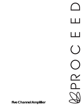R U<br>P<br>D<br>O<br>O<br>O<br>D<br>C<br>D Ш H  $\overline{(\ \ )}$ 

**Five Channel Amplifier**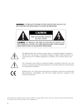### **WARNING:** TO REDUCE THE RISK OF FIRE OR ELECTRIC SHOCK, DO NOT EXPOSE THIS APPLIANCE TO RAIN OR MOISTURE.





The lightning flash with arrowhead symbol, within an equilateral triangle, is intended to alert the user to the presence of uninsulated "dangerous voltage" within the product's enclosure that may be of sufficient magnitude to constitute a risk of electric shock to persons.



The exclamation point within an equilateral triangle is intended to alert the user to the presence of important operating and maintenance (servicing) instructions in the literature accompanying the appliance.

 $\epsilon$ 

Marking by the "CE" symbol (shown left) indicates compliance of this device with the EMC (Electromagnetic Compatibility) and LVD (Low Voltage Directive) standards of the European Community.

The information contained in the manual is subject to change without notice. The most current version of this manual will be posted on our web site at http://www.madrigal.com.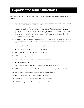## **Important Safety Instructions**

Please read all instructions and precautions carefully and completely before operating your Proceed power amplifier.

- 1. **ALWAYS** disconnect your entire system from the AC mains before connecting or disconnecting any cables, or when cleaning any component.
- 2. This product is equipped with a three-conductor AC mains power cord which includes an earth ground connection. To prevent shock hazard, all three connections must **ALWAYS** be used. If your electrical outlets will not accept this type of plug, an adapter may be purchased. If an adapter is necessary, be sure it is an approved type and is used properly, supplying an earth ground. If you are not sure of the integrity of your home electrical system, contact a licensed electrician for assistance.
- 3. AC extension cords are not recommended for use with this product. If an extension cord must be used, be sure it is an approved type and has sufficient current-carrying capacity to power this product.
- 4. **NEVER** use flammable or combustible chemicals for cleaning audio components.
- 5. **NEVER** operate this product with any covers removed.
- 6. **NEVER** wet the inside of this product with any liquid.
- 7. **NEVER** pour or spill liquids directly onto this unit.
- 8. **NEVER** block air flow through ventilation slots or heatsinks.
- 9. **NEVER** bypass any fuse.
- 10. **NEVER** replace any fuse with a value or type other than those specified.
- 11. **NEVER** attempt to repair this product. If a problem occurs, contact your Proceed® retailer.
- 12. **NEVER** expose this product to extremely high or low temperatures.
- 13. **NEVER** operate this product in an explosive atmosphere.
- 14. **ALWAYS** keep electrical equipment out of the reach of children.
- 15. **ALWAYS** unplug sensitive electronic equipment during lightning storms.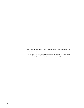*From all of us at Madrigal Audio Laboratories, thank you for choosing this Proceed power amplifier.*

*A great deal of effort went into the design and construction of this precision device. Used properly, it will give you many years of enjoyment.*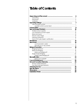### **Table of Contents**

| 6  |
|----|
|    |
|    |
|    |
| 7  |
|    |
|    |
| 8  |
| 10 |
|    |
|    |
|    |
|    |
|    |
|    |
| 12 |
| 14 |
|    |
|    |
| 18 |
|    |
|    |
|    |
|    |
|    |
| 23 |
|    |
| 24 |
| 25 |
|    |
|    |
| 26 |
| 27 |
| 28 |
| 29 |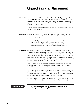## **Unpacking and Placement**

<span id="page-5-0"></span>

| Unpacking         | Unpack your Proceed® Five Channel Amplifier and keep all packing materials<br>for future transport. Shipment of the amplifier without the original packing<br>material is not recommended, as it is heavy enough to make improvised packag-<br>ing impractical. Locate and remove all accessory items from the cartons, and store<br>teh cartons for possible future use.                                                                                                                                                                                                         |
|-------------------|-----------------------------------------------------------------------------------------------------------------------------------------------------------------------------------------------------------------------------------------------------------------------------------------------------------------------------------------------------------------------------------------------------------------------------------------------------------------------------------------------------------------------------------------------------------------------------------|
|                   | Carefully inspect the product for shipping damage. If you discover any, see your<br>Proceed dealer immediately.                                                                                                                                                                                                                                                                                                                                                                                                                                                                   |
| Placement         | Your Proceed amplifier may be placed either near the preamplifier/control center<br>or near the loudspeakers. It may be placed on a shelf or in a cabinet where it is<br>convenient to operate.                                                                                                                                                                                                                                                                                                                                                                                   |
|                   | Note that adequate clearance for the AC cord and connecting<br>cables must be left behind your amplifier. We suggest leaving at<br>least three inches of free space behind your amplifier to allow all<br>cables sufficient room to bend without crimping or undue strain.                                                                                                                                                                                                                                                                                                        |
| Ventilation       | Be sure to allow 2 to 3 inches of clearance above your amplifier to allow heat<br>dissipation through air circulation. The vents on both the bottom and the top of<br>the amplifier must be kept free from any obstruction which would reduce the<br>flow of air through the unit. The best rule of thumb is this: if the top of your am-<br>plifier is too hot to touch when "idle," it needs better ventilation. If so, consider<br>drilling holes in the supporting shelf under the amplifier to promote flow-through<br>ventilation, or use fans to increase air circulation. |
|                   | Open equipment racks are generally best for power amplifiers, as they allow<br>ample ventilation. If your amplifier must be located inside a cabinet which re-<br>stricts airflow, consider using some fans to increase ventilation.                                                                                                                                                                                                                                                                                                                                              |
|                   | Avoid placement on soft surfaces such as carpeting. If you prefer to have the am-<br>plifier on the floor near your loudspeakers, be sure to place it on a firm surface.<br>(A piece of tempered glass under the amplifier is aesthetically unobtrusive while<br>providing firm support and allowing the required ventilation.)                                                                                                                                                                                                                                                   |
|                   | Mechanical drawings are included in this manual to facilitate special installations<br>and custom cabinet work (see "Dimensions" at the end of this manual).                                                                                                                                                                                                                                                                                                                                                                                                                      |
| <b>PRECAUTION</b> | For your protection, review "Important Safety Instructions"<br>before you install your amplifier.                                                                                                                                                                                                                                                                                                                                                                                                                                                                                 |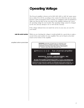<span id="page-6-0"></span>

|                              | <b>Operating Voltage</b>                                                                                                                                                                                                                                                                                                                                                                                                                                                                                                                                      |
|------------------------------|---------------------------------------------------------------------------------------------------------------------------------------------------------------------------------------------------------------------------------------------------------------------------------------------------------------------------------------------------------------------------------------------------------------------------------------------------------------------------------------------------------------------------------------------------------------|
|                              | The Proceed amplifier is factory-set for 100V, 120V, 220V, or 240V AC mains opera-<br>tion at either 50 or 60 Hz, according to the country for which the unit was manu-<br>factured. (230V in European Union countries, in compliance with CE regulations.)<br>Make sure that the label on the rear panel of the amplifier indicates the correct<br>AC operating voltage for your location. The operating voltage cannot be changed<br>by the user, and any attempt to do so will void the warranty.                                                          |
|                              | If the voltage indicated does not match the service in your area, see your Pro-<br>ceed dealer.                                                                                                                                                                                                                                                                                                                                                                                                                                                               |
| note the serial number       | While you are checking the voltage, it would probably be a good idea to make a<br>record of the serial number for your amplifier. This can be found on the label<br>found on the bottom of the amplifier.                                                                                                                                                                                                                                                                                                                                                     |
| amplifier bottom-panel label | <b>WARNING: BEFORE ATTEMPTING TO OPERATE THIS</b><br>DEVICE, REFER TO OWNER'S MANUAL FOR PROPER<br>OPERATING INSTRUCTIONS AND SAFETY PRECAUTIONS.<br>HAZARDOUS VOLTAGE AVAILABLE INSIDE; DISCONNECT<br>AC ~ MAINS CABLE BEFORE OPENING UNIT.                                                                                                                                                                                                                                                                                                                  |
|                              | $\&$ PR O C E E D° five channel amplifier<br>S/N<br><b>MADRIGAL AUDIO LABORATORIES, INC.</b><br>designed and manufactured in USA<br>No User Serviceable Components Inside. For service, contact Madrigal Audio<br>Laboratories or an Authorized Dealer. Any modifications to this equipment will void all warranties.<br>Manufactured under license from Lucasfilm Ltd. Additionally licensed under the following<br>patents: U.S. number 5,043,970; 5,189,703; and 5,222,059. Foreign patents pending. Lucasfilm<br>THX Audio, Lucasfilm, and Home THX Cinem |
|                              |                                                                                                                                                                                                                                                                                                                                                                                                                                                                                                                                                               |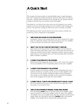### <span id="page-7-0"></span>**A Quick Start**

We recognize that many people are understandably eager to begin listening to their new components, and that reading the manual is often done (if at all) at a later time—perhaps while listening to music through the new product itself. We strongly recommend that you read this manual thoroughly.

Fortunately, we can help you get some music up and running on your system quickly, so that you may begin enjoying your new amplifier while reading more about it. The goal here is simply to make some music as quickly as possible.

The following procedure assumes that the rest of your system is already connected (e.g., source components to preamplifier).

#### **1 TURN DOWN THE VOLUME ON YOUR PREAMPLIFIER**

Turning the volume on the preamp all the way down minimizes the opportunity for unpleasant surprises when first powering up your new amplifier. It does not need to be turned off—merely turned down.

#### **2 SELECT "XLR" OR "RCA" WITH THE "INPUT SELECT" SWITCHES**

Each channel of the Proceed Five Channel Amplifier has both balanced (XLR) and single-ended (RCA) inputs, with a small switch between the two connectors to select between them. Using these switches, select the appropriate input for each channel, given your interconnecting cables and preamplifier/controller's capabilities.

#### **3 CONNECT YOUR PREAMP TO THE AMPLIFIER**

Having selected the appropriate inputs in Step 2, now connect the outputs of your preamplifier to the corresponding inputs on the power amplifier.

#### **4 CONNECT YOUR SPEAKERS TO THE AMPLIFIER**

Connect speaker wire from the amplifier to your loudspeakers. Be sure to maintain consistency in polarity, e.g., the red post on the amplifier to the red connector on the speaker, and likewise black to black. (Getting the wires mixed up won't damage anything, but the sound will be lacking in bass and the imaging will be quite poor and unstable.)

**5 CONNECT THE AC CORD TO THE AMPLIFIER AND TO YOUR AC OUTLET** The AC receptacle for the power cord is located on the right side of the rear panel, as seen from the front.

#### **6 TURN ON THE AMPLIFIER BY PRESSING POWER, THEN STANDBY**

Press the latching **power** button on the front panel of the amplifier (small, near the bottom) to connect the amplifier to the AC mains. The amplifier will initially power up in standby mode. After five seconds (to let the power supply charge up), pressing the large silver **standby** button will bring the amplifier out of standby into its normal, fully operational mode.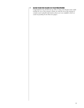#### **7 SLOWLY RAISE THE VOLUME ON YOUR PREAMPLIFIER**

Congratulations! You should now be able to enjoy your favorite music while reading the rest of this manual. (*Please, do read the rest of this manual. It contains much valuable information about your new amplifier which we could not possibly fit onto these two pages.*)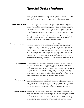## **Special Design Features**

<span id="page-9-0"></span>

|                             | Congratulations on your purchase of a Proceed amplifier! While your new ampli-<br>fier is straightforward in its use, it includes several design features which are re-<br>sponsible for its outstanding performance. A few of these are given below.                                                                                                                                                                                                                                                                                                                                                                                                                                                                                                                                                                                                                    |
|-----------------------------|--------------------------------------------------------------------------------------------------------------------------------------------------------------------------------------------------------------------------------------------------------------------------------------------------------------------------------------------------------------------------------------------------------------------------------------------------------------------------------------------------------------------------------------------------------------------------------------------------------------------------------------------------------------------------------------------------------------------------------------------------------------------------------------------------------------------------------------------------------------------------|
| Multiple power supplies     | Unlike other multichannel amplifiers, your new amplifier maintains outstanding<br>isolation and independence among its five channels. Three large toroidal trans-<br>formers are used, with complete left/center/right channel separation maintained<br>throughout. Separate secondary windings for front vs. rear channels on the Left<br>and Right transformers feed separate rectifiers and separate banks of filter caps.<br>In short, after the transformer, each channel has its own, dedicated power supply.                                                                                                                                                                                                                                                                                                                                                      |
|                             | This approach reduces crosstalk between audio channels for superior imaging<br>and reproduction of acoustic space. Any demands placed on one channel have<br>virtually no effect on the performance of the other channel(s).                                                                                                                                                                                                                                                                                                                                                                                                                                                                                                                                                                                                                                             |
| Low impedance power supply  | A critical factor in the ultimate performance of an amplifier is its "power supply<br>impedance," which can be loosely thought of as the freedom with which the au-<br>dio circuitry has access to the power it needs, when it needs it. The design of<br>your Proceed amplifier has addressed this important characteristic in a compre-<br>hensive fashion. For example, the power supply capacitors (which act as "reser-<br>voirs" of power for the amplifier circuitry) are mounted directly to the printed<br>circuit board rather than using point to point wiring. The layout of the circuitry<br>uses short, thick traces for high current paths. Internal current capability is further<br>enhanced with high purity copper bus bars. This attention to detail yields an op-<br>timal environment in which the amplifier may operate to its maximum potential. |
| <b>Balanced inputs</b>      | Each channel of your amplifier is individually configurable to receive either bal-<br>anced or single-ended inputs. This approach allows you to take full advantage of<br>the greater immunity from noise, RFI, and EMI which balanced transmission of<br>audio signals offers on any preamp-to-amplifier connection where it is supported.<br>At the same time, any or all channels of the amplifier may be configured for<br>single-ended inputs to maintain compatibility with the majority of preamplifiers<br>available today. The gain structure of the amplifier adjusts automatically when you<br>select different inputs to facilitate this "mix and match" approach.                                                                                                                                                                                           |
| Robust output stage         | Each channel of your Proceed amplifier uses ten 150 watt power transistors.<br>These transistors are all individually tested and sorted, and are used in matched<br>sets to ensure that no one transistor bears a disproportionate part of the overall<br>load. The combination of an "overbuilt" design specification and extraordinary atten-<br>tion to detail in manufacturing improves performance, reliability, and longevity.                                                                                                                                                                                                                                                                                                                                                                                                                                     |
| <b>Extensive protection</b> | Your Proceed amplifier will shut itself down if it senses either the presence of<br>either DC (direct current) or a short circuit at the output, or any unsafe operating<br>temperature. In any case, a power relay will cause the amplifier to be discon-<br>nected from the AC mains. In addition, the AC input to each transformer is fused<br>to protect against any possibility of component-level failure that could draw dan-<br>gerous amounts of power. Finally, inrush limiting prevents premature aging of                                                                                                                                                                                                                                                                                                                                                    |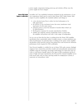<span id="page-10-0"></span>

|                                        | power supply components during power-up, and switches off-line once the<br>power supply has been charged.                                                                                                                                                                                                                                                                                                                                                                                                                                                   |
|----------------------------------------|-------------------------------------------------------------------------------------------------------------------------------------------------------------------------------------------------------------------------------------------------------------------------------------------------------------------------------------------------------------------------------------------------------------------------------------------------------------------------------------------------------------------------------------------------------------|
| Home THX Audio<br>System certification | Lucasfilm, Ltd. <sup>®</sup> has established minimum standards for the performance of vari-<br>ous components which may be used in their Home THX® Audio System. With<br>respect to power amplifiers, the standards address such things as:                                                                                                                                                                                                                                                                                                                 |
|                                        | • a low electrical noise floor to allow low-level information to be<br>fully appreciated;                                                                                                                                                                                                                                                                                                                                                                                                                                                                   |
|                                        | • the absence of any mechanical noise (fan noise, transformer wind-<br>ing buzzes), for the same reason;                                                                                                                                                                                                                                                                                                                                                                                                                                                    |
|                                        | • adequate power to meet the demands of modern films (which can<br>be <i>quite</i> dynamic);                                                                                                                                                                                                                                                                                                                                                                                                                                                                |
|                                        | • flat frequency response for accurate reproduction of timbre;<br>• stability into relatively extreme loudspeaker loads, to ensure that<br>the amplifier will perform well with a wide range of loudspeakers.                                                                                                                                                                                                                                                                                                                                               |
|                                        | As you can see from this list, there is nothing about the Home THX amplifier<br>specification that is particularly radical. It simply ensures a certain minimum stan-<br>dard of performance. In particular, there is nothing in the nature of the amplifier<br>specification which prevents anyone from going above and beyond the minimum<br>performance levels required by THX certification.                                                                                                                                                            |
|                                        | Your Proceed amplifier is certified for use in Home THX audio systems. Madrigal<br>engineers have created this powerful, versatile and extraordinarily <i>musical</i> power<br>amplifier, using the technology and design methodology for which they have be-<br>come so well known. Equally suited to the rigors of film soundtracks and the fi-<br>nesse of high end music reproduction, the Proceed Five Channel Amplifier serves<br>both needs quite well. In today's growing market for multipurpose systems, it<br>represents an extraordinary value. |
|                                        |                                                                                                                                                                                                                                                                                                                                                                                                                                                                                                                                                             |
|                                        |                                                                                                                                                                                                                                                                                                                                                                                                                                                                                                                                                             |
|                                        |                                                                                                                                                                                                                                                                                                                                                                                                                                                                                                                                                             |
|                                        |                                                                                                                                                                                                                                                                                                                                                                                                                                                                                                                                                             |
|                                        |                                                                                                                                                                                                                                                                                                                                                                                                                                                                                                                                                             |
|                                        |                                                                                                                                                                                                                                                                                                                                                                                                                                                                                                                                                             |
|                                        |                                                                                                                                                                                                                                                                                                                                                                                                                                                                                                                                                             |
|                                        |                                                                                                                                                                                                                                                                                                                                                                                                                                                                                                                                                             |
|                                        |                                                                                                                                                                                                                                                                                                                                                                                                                                                                                                                                                             |
|                                        |                                                                                                                                                                                                                                                                                                                                                                                                                                                                                                                                                             |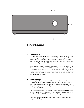<span id="page-11-0"></span>

### **Front Panel**

#### **1 POWER BUTTON**

Pressing this latching **power** button connects the amplifier to the AC mains, charges the power supply (which takes about five seconds), and places it in standby. Having a true standby function keeps the sensitive voltage gain stages warmed up and sounding their best at all times. Power consumption when in standby is less than 150 watts.

Note that if the amplifier has been disconnected from the AC mains power by depressing the front panel **power** button or by unplugging it from the AC outlet, it cannot respond to a remote turn-on command from a control unit. If you wish the amplifier to turn on and off via the Proceed communications bus (or by a DC trigger), the amplifier needs to be in standby, with this **power** button engaged.

#### **2 STANDBY BUTTON**

Assuming that the power is on and the unit is in standby (see 1, above), pressing the **standby** button engages the output stage of the amplifier, taking it from **standby** to fully **on**. Pressing the **standby** button again will toggle the amplifier back to standby. Power consumption when fully on and at idle is less than 250 watts.

At your option, you may also toggle the amplifier between **standby** mode and fully **on** by connecting a suitable 5-12V DC trigger such as can be provided by the Proceed PDSD or AVP to its **remote trigger input**.

Note that pressing the **standby** button has no effect until after the power supply is fully charged.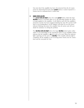Note also that if the amplifier has been disconnected from the AC mains power by depressing the front panel **power** button, it cannot respond to a remote turn-on command from a control unit.

#### **3 INDICATOR LIGHTS**

The **power indicator light** (above the small **power** button, *below* the large **standby** button) is normally either on or off, indicating whether AC power is being supplied to the amplifier. It will *blink* on and off if the amplifier's protection circuitry has been engaged (shutting the amp off to protect itself and/or your loudspeakers). In the unlikely event that you see the power indicator blinking, disconnect the amplifier from AC power and call your dealer for assistance in solving the problem.

The **standby indicator light** (above the large **standby** button) glows either amber or red, depending on the operational status of your amplifier. Amber indicates that the amplifier is **on** and ready to be used. When the indicator light is glowing red, the unit is in **standby**. If the standby indicator light is completely off, the amplifier is not receiving power. Check your AC connections and the rear-panel AC fuse.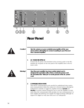<span id="page-13-0"></span>

| KSPR O<br>$\circledcirc$<br>0<br>ht front | D' five channel amplifier by MADRIGAL AUDIO LABS made in u. s<br>left rear<br>right rear<br>eft front<br>center<br>6                                                                                                                                                                                                                                                                                                                    |
|-------------------------------------------|-----------------------------------------------------------------------------------------------------------------------------------------------------------------------------------------------------------------------------------------------------------------------------------------------------------------------------------------------------------------------------------------------------------------------------------------|
|                                           | <b>Rear Panel</b>                                                                                                                                                                                                                                                                                                                                                                                                                       |
| Caution!                                  | Turn the volume on your controller/preamplifier all the way<br>down before attempting to connect anything to your Proceed<br><b>Five Channel Amplifier.</b>                                                                                                                                                                                                                                                                             |
|                                           | <b>AC MAINS RECEPTACLE</b><br>1<br>Connect the AC power cord (included in the accessory pack) to the IEC-<br>standard AC receptacle on the rear panel of the amplifier, then to the AC<br>mains outlet.                                                                                                                                                                                                                                 |
| Warning!                                  | Your Proceed amplifier has been safety-tested and is<br>designed for operation with a three-conductor power cord.<br>Do not defeat the "third pin" or earth ground of the AC power<br>cord.                                                                                                                                                                                                                                             |
|                                           | $\overline{2}$<br><b>COMMUNICATION PORTS</b><br>These RJ-45 communications ports provide for sophisticated inter-compo-<br>nent communications within the context of a Proceed system, allowing the<br>multichannel controller to toggle the amplifier between operate and<br>standby as needed, without forcing the user to turn the amplifier on sepa-<br>rately. Since this communication link provides two-way communication, it is |

more reliable and preferred over simpler DC trigger hookups (although we

support DC triggers as well, since their use is so widespread).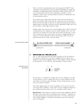<span id="page-14-0"></span>These two RJ-45 communications ports also support the PHAST™ intercomponent communications protocols, greatly simplifying the design and installation of sophisticated home automation systems. They provide twoway communication with the home automation controller as to the amplifier's current status, ensuring reliable execution of sophisticated turnon and shutdown macros.

To use these ports, simply daisy chain the various Proceed products together. The modular cable needed for the connection may be purchased from your Proceed dealer. It may also be easily and inexpensively made to length using two modular connectors and the appropriate length (up to 100 feet/30 meters) of flat, eight conductor cable.

Modular cables and connectors are used throughout the world for both telecommunications and computers, and are widely available at low cost. The connectors are crimped on to the ends of the cable such that pin 1 at one end is connected to pin 1 at the other end. Such a "straight-through" connection is (counter-intuitively) made by introducing a 180° twist in the cable between the two ends, as shown below.



#### **3 REMOTE TURN-ON ("TRIGGER') JACKS**

Two 1⁄8" "mini" jacks above the AC mains receptacle on the rear panel allows remote-controlled turn-on (that is, toggling between operate and standby) of the Proceed amplifier. These remote "triggers" will be operated by the presence of 5–12 volts DC, with tip polarity as shown below:



The presence of a suitable DC voltage will cause the amplifier to be fully on; the absence of such a voltage will cause it to enter standby. Your Proceed dealer can help you take advantage of these design features to maximize your system's versatility.

Since these trigger inputs are wired in parallel, you can go into one and out of the other to facilitate a "daisy-chain" of turn-on triggers (should you have additional products that need to be controlled in this manner).

**Special note:** if this method of control is used for the amplifier(s), the last mini-jack in the chain must be terminated with a dummy 1⁄8" plug [that is, an empty plug must be inserted into the final  $\frac{1}{8}$ " (3.5 mm) jack]. Even if only a single amplifier is controlled in this fashion, the "extra" mini-jack must be terminated.

Remote turn-on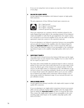If you are not using these turn-on inputs, you may leave them both empty of any plugs.

#### **4 BALANCED AUDIO INPUTS**

Accepts signals from preamplifiers with balanced outputs via high quality XLR connectors.

The pin assignments of these XLR-type female input connectors are:



Pin 1: Signal ground Pin 2: Signal **+** (non-inverting) Pin 3: Signal – (inverting) Connector ground lug: chassis ground

These pin assignments are consistent with the standards adopted by the Audio Engineering Society. Refer to the operating manual of your balancedoutput preamplifier to verify that the pin assignments of its output connectors correspond to your Proceed amplifier. If not, wire the cables so that the appropriate output pin connects to the equivalent input pin.

If you are planning to use balanced connections between your preamplifier and any particular channel of the amplifier, select the balanced input by sliding the **input select switch** (see Item 5, below) toward the XLR input. Then connect the balanced outputs of your preamplifier to the corresponding balanced inputs on the amplifier using high quality cables such as CZ Gel-1.

#### **5 INPUT SELECT SWITCH**

This small switch is found between the balanced XLR input and the singleended RCA input on each channel of the amplifier. Use it to select which of the two inputs you plan to use.

The input select switch disables the unselected input in order to avoid any pickup of stray noise from what would otherwise be an open input. It also causes the effective gain of that channel to be adjusted (either 23 dB balanced or 29 dB single-ended, to compensate for the 6 dB difference in signal level in these two connection standards). Should you use your amplifier in a home theater system, this adjustment allows you to use any combination of balanced and single-ended connections without having to worry about going outside the adjustment range of your surround decoder's output calibration circuitry.

#### **6 SINGLE-ENDED INPUTS**

Accepts signals from preamp/controllers with single-ended outputs via high quality RCA connectors.

If you are planning to use single-ended connections between your preamplifier and any particular channel of the amplifier, select the single-ended input by sliding the **input select switch** (see Item 5) toward the RCA input. Then connect the single-ended outputs of your preamplifier to the corresponding single-ended inputs on the amplifier, using high quality cable such as CZ Gel-2.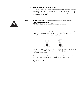#### **7 SPEAKER OUTPUTS & BINDING POSTS**

The Proceed amplifier is equipped with gold-plated, high-current binding posts for output termination to a loudspeaker system. To take full advantage of the AMP's sonic quality, we recommend using high-quality speaker cable; see your Proceed dealer.

<span id="page-16-0"></span>

**Caution! NEVER connect the amplifier output terminals to any device other than a loudspeaker. NEVER short-circuit the amplifier's output terminals.**

> There are two recommended methods for connecting speaker cables to the amplifier. A high-quality spade lug or hook lug, soldered to the cable (or crimped with extremely high pressure), is best.



For each channel in turn, connect the left-channel **–** (negative or black) output post of the amplifier to the **–** (negative or black) input terminal of the appropriate loudspeaker.

Then connect the **+** (positive or red) output post of the amplifier to the **+** (positive or red) input terminal of the appropriate loudspeaker.

Repeat this procedure for all remaining channels.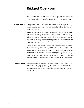## **Bridged Operation**

<span id="page-17-0"></span>

| Your Proceed amplifier has been designed to be extremely versatile. Should your<br>needs change or grow over time, you may wish to add additional power by one<br>of two means: Bridging, or Biamping. We will discuss bridged operation first.                                                                                                                                                                                                                                                                                                                                                                                                                                                                                |
|--------------------------------------------------------------------------------------------------------------------------------------------------------------------------------------------------------------------------------------------------------------------------------------------------------------------------------------------------------------------------------------------------------------------------------------------------------------------------------------------------------------------------------------------------------------------------------------------------------------------------------------------------------------------------------------------------------------------------------|
| Bridging refers to the act of reconfiguring the circuitry in two channels of your<br>amplifier to act as though it were a single, much larger amplifier. (Of course, this<br>reduces the number of available channels; you may need more amplifiers to<br>make up the difference.)                                                                                                                                                                                                                                                                                                                                                                                                                                             |
| Bridging is accomplished by sending a normal signal to one channel and an <i>in</i> -<br>verted signal to the other. In this configuration, one channel will always be "push-<br>ing" when the other is "pulling." By connecting the loudspeaker leads across the<br>left and right red output terminals, the amplifier can now deliver twice the nor-<br>mal voltage to the loudspeaker. Working together this way, the two amplifier chan-<br>nels can deliver about <i>four times</i> the power to a speaker that a single channel<br>could deliver on its own.                                                                                                                                                             |
| Bridged operation is particularly beneficial with low sensitivity, high-impedance<br>loudspeakers ( $8\Omega$ or higher) that have a greater need for voltage than for current.<br>It is not recommended for low-impedance loudspeakers, as the speaker's imped-<br>ance is "split" by the two halves of the amplifier. Thus the bridged amplifier "sees"<br>a 2 $\Omega$ load when connected to a 4 $\Omega$ loudspeaker. Delivery of high power into<br>such a low impedance creates a great deal of heat that needs to be dissipated.<br>(Of course, your amplifier is protected against overheating, but having an ampli-<br>fier shut itself down even temporarily can put a damper on the evening's enter-<br>tainment.) |
| If your preamplifier has balanced outputs, you should use them. For this discus-<br>sion, we will assume that you are using a Madrigal Balanced Bridging Kit for<br>each channel to be bridged. (Alternatively, you may have custom cables built us-<br>ing your preferred wire and connectors, being careful to follow the wiring dia-<br>gram below.)                                                                                                                                                                                                                                                                                                                                                                        |
|                                                                                                                                                                                                                                                                                                                                                                                                                                                                                                                                                                                                                                                                                                                                |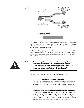Balanced Bridging Kit 2 1 3 1 2 3 1 2 Female XLR Input<br>Pin 1: signal ground<br>Pin 2: signal + (non-inverting)<br>Pin 3: signal – (inverting) **Male XLR Output (normal)** Pin 1: signal ground Pin 2: signal + (non-inverting) Pin 3: signal – (inverting) **Male XLR Output (inverted)** Pin 1: not used (floated) Pin 2: signal – (inverting) Pin 3: signal + (non-inverting) **Balanced Bridging Input Adapter** (pin configuration) **Bridging Output Adapter**<br>(not drawn to scale) (shield not connected) The "normal" leg of the Madrigal Balanced Bridging Input Adapter will be marked with a red stripe to indicate positive polarity, and the inverted leg will be marked with a black stripe to indicate inverted polarity (corresponding to the red and black terminals of your loudspeaker). The Balanced Bridging Output Adapter is simply a heavy-gauge copper bar (silver- and gold-plated) used to strap two of the output ground terminals together. This establishes a common reference for the amplifier and completes the circuit that includes the loudspeakers. **Important! Do not attempt to operate your amplifier in a bridged mode without first strapping the black output terminals together. Failure to establish a common ground reference between the two channels can damage your amplifier by forcing significant currents to flow where they do not belong!** To bridge your amplifier using a balanced input signal, follow these steps: **1 DISCONNECT YOUR AMPLIFIER FROM EVERYTHING** Start with your amplifier totally disconnected from inputs, outputs, and AC power. It is always best to power down an amplifier before changing connections; here you are also changing its basic configuration, making this step essential. **2 CONNECT THE BALANCED BRIDGING INPUT ADAPTER TO THE INPUTS** Connect the two male XLRs to two adjacent inputs on your amplifier, noting which XLR is marked red and which is black. The channel with the red, normal input will later be connected to the red, positive terminal of your loudspeaker. Don't forget to choose the balanced input on each channel us-

ing the switch located between the XLR and the RCA connectors.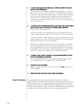#### <span id="page-19-0"></span>**3 CONNECT THE BALANCED BRIDGING OUTPUT ADAPTER TO THE TWO BLACK OUTPUT TERMINALS**

Connect one end of the Balanced Bridging Output Adapter to a black output terminal on one of the two channels to be bridged together, and then connect the other end of the Output Adapter to a black output terminal on the other channel. Make sure these connections are snug and secure. (If you need to use two channels of a different spacing—for example, two center channel in different amplifiers—you can use a heavy gauge speaker wire for this purpose.)

#### **4 CONNECT YOUR LOUDSPEAKER WIRE ACROSS TWO RED OUTPUT TERMI-NALS, ONE TO EACH OF THE TWO CHANNELS BEING BRIDGED** Please read the following carefully:

Connect the positive/+/red binding post of your loudspeaker to the red output terminal associated with the red (normal) side of the Input Adapter.

Connect the negative/–/black binding post of your loudspeaker to the *red* output terminal on the other side of the amplifier, the one associated with the black (inverted) side of the Input Adapter.

Following this connection convention preserves the polarity of the signal sent to the loudspeaker. In practice, the most important thing is to be consistent throughout the system, as inconsistency will result in out-of-phase loudspeakers. In turn, this results in unstable imaging and poor bass reproduction. (The effect is not dangerous, but neither is it desirable.)

#### **5 CONNECT ONE OUTPUT CHANNEL OF YOUR PREAMPLIFIER TO THE IN-PUT OF YOUR BRIDGED AMPLIFIER**

The female XLR at the junction of the Balanced Bridging Input Adapter is now the *single* input to this *bridged* pair of amplifier channels.

#### **6 POWER UP YOUR AMPLIFIER**

Plug the amplifier back into the AC mains; press the **power** button to turn on the amplifier.

#### **7 REPEAT THIS PROCESS WITH YOUR OTHER AMPLIFIER(S)**

**Single-Ended Bridging** | If your preamplifier has only single-ended (RCA) outputs, a few details of bridged operation will differ from the discussion above, all pertaining to the connection of the preamp to the bridged amplifiers. For this discussion, we will assume that you are using a Madrigal Single-Ended Bridging Kit for each channel to be bridged. (Alternatively, you may have custom cables built using your preferred wire and connectors, being careful to follow the wiring diagram below.)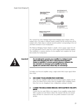Single-Ended Bridging Kit



The "normal" leg of the Madrigal Single-Ended Bridging Input Adapter will be marked with a red stripe to indicate positive polarity, and the inverted leg will be marked with a black stripe to indicate inverted polarity (corresponding to the red and black terminals of your loudspeaker).

The Balanced Bridging Output Adapter is simply a heavy-gauge copper bar (silver- and gold-plated) used to strap two of the output ground terminals together. This establishes a common reference for the amplifier and completes the circuit that includes the loudspeakers.



**Important! Do not attempt to operate your amplifier in a bridged mode without first strapping the black output terminals together. Failure to establish a common ground reference between the two channels can damage your amplifier by forcing significant currents to flow where they do not belong!**

> To bridge your Proceed amplifier using a single-ended (RCA) input signal, follow these steps:

#### **1 DISCONNECT YOUR AMPLIFIER FROM EVERYTHING**

Start with your amplifier totally disconnected from inputs, outputs, and AC power. It is always best to power down an amplifier before changing connections; here you are changing its basic configuration, making it essential.

#### **2 CONNECT THE SINGLE-ENDED BRIDGING INPUT ADAPTER TO THE AMP'S INPUTS**

Connect the two male XLRs to two inputs of your amplifier, noting which XLR is marked red and which is black. The channel with the red, normal input will later be connected to the red, positive terminal of your loudspeaker.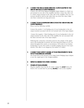#### <span id="page-21-0"></span>**3 CONNECT THE SINGLE-ENDED BRIDGING OUTPUT ADAPTER TO TWO SIDE-BY-SIDE BLACK OUTPUT TERMINALS**

Connect one end of the Balanced Bridging Output Adapter to a black output terminal on one side of the amplifier, and then connect the other end to a black output terminal on the other side of the amplifier. (The two connections should be side-by-side rather than one above the other.) Make sure these connection are snug and secure.

#### **4 CONNECT YOUR LOUDSPEAKER WIRE ACROSS TWO SIDE-BY-SIDE, RED OUTPUT TERMINALS**

Please read the following carefully:

Connect the positive/+/red binding post of your loudspeaker to the red output terminal associated with the red (normal) side of the Input Adapter.

 Connect the negative/–/black binding post of your loudspeaker to the red output terminal on the other side of the amplifier, the one associated with the black (inverted) side of the Input Adapter.

Following this connection convention preserves the polarity of the signal sent to the loudspeaker. In practice, the most important thing is to be consistent throughout the system, as inconsistency will result in out-of-phase loudspeakers. In turn, this results in unstable imaging and poor bass reproduction. (The effect is not dangerous, but neither is it subtle.)

#### **5 CONNECT ONE OUTPUT CHANNEL OF YOUR PREAMPLIFIER TO THE IN-PUT OF YOUR BRIDGED AMPLIFIER**

The female RCA at the junction of the Single-Ended Bridging Input Adapter is now the *single* input to this *bridged* amplifier.

#### **6 REPEAT AS NEEDED FOR OTHER CHANNELS**

#### **7 POWER UP YOUR AMPLIFIER**

Plug the amplifier back into the AC mains; engage the **power** button, followed a few seconds later by pressing **standby** to turn on the amplifier.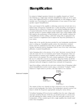### <span id="page-22-0"></span>**Biamplification**

In contrast to bridged operation (wherein two amplifier channels are "fooled" into behaving as a single, larger channel), biamplification makes use of two channels to drive *different portions* of a single loudspeaker. As with bridging, it offers a modular way of increasing the overall performance of your system (if your loudspeakers support biamplification).

Since each channel of the amplifier is delivering current into its load only over a limited range of frequencies (typically bass *vs.* mids and treble), several forms of distortion may be reduced as compared to each channel handling the full range of musical information. For this reason, many loudspeaker companies are designing their products to include multiple speaker inputs (since using multiple amplifiers improves the performance of their products as well). Another common use of biamplification involves adding a subwoofer (along with an appropriate electronic crossover) to supplement and/or improve the deep bass performance of your system.

Always refer to the specific directions provided by your loudspeaker manufacturer prior to setting up a biamplified speaker system. Any instructions contained herein cannot be substituted for those that are specific to the loudspeaker in question. In general, however, biamping is done in one of two ways: *active* biamplification, or *passive* biamplification.

Active biamping refers to the presence of an "active" electronic crossover that divides the music into two (or sometimes more) bands of frequencies. These are then forwarded to separate power amplifiers, and sent on directly to the appropriate drivers in the speakers. The most common application of this approach is the use of a subwoofer crossover to separate the deep bass (below, say, 80 Hz) from the rest of the program material. It is then amplified separately and sent to a dedicated subwoofer designed to handle those extremely low frequencies.

Apart from adding a subwoofer, the next most common form of biamping (called *passive* biamplification) involves merely using a conventional "Y-adapter" (either balanced or single-ended) to provide a full range signal to two channels.



The outputs of these two channels are then connected to two sets of binding posts on each loudspeaker. (See below.) The loudspeaker's internal crossover continues to divide the frequencies appropriately among the various drivers.

To facilitate biamping, all Proceed power amplifiers have the same voltage gain and input sensitivity. Because of this fact, you should not have to concern yourself with adjusting the relative volumes of the bass and treble sections of your loudspeakers—if they sounded good with a single amplifier, they should sound better when biamplified.

Balanced Y-adapter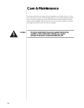### <span id="page-23-0"></span>**Care & Maintenance**

To remove dust from the cabinet of your amplifier, use a feather duster or a lintfree soft cloth. To remove dirt and fingerprints, we recommend isopropyl alcohol and a soft cloth. Dampen the cloth with alcohol first and then lightly clean the surface of the amplifier with the cloth. Do not use excessive amounts of alcohol that might drip off the cloth and into the amplifier.



 **Caution! At no time should liquid cleaners be applied directly to the amplifier, as direct application of liquids may result in damage to electronic components within the unit.**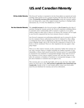# **U.S. and Canadian Warranty**

<span id="page-24-0"></span>

| 90-Day Limited Warranty     | This Proceed® product is warranted to be free from defects in material and work-<br>manship under normal use for a period of ninety (90) days from the date of pur-<br>chase. To extend the warranty of this Proceed product, return the warranty registra-<br>tion card along with a copy of the original receipt of purchase to Madrigal Audio<br>Laboratories, Inc., P. O. Box 781, Middletown, CT 06457.                                                                                                                                                                  |
|-----------------------------|-------------------------------------------------------------------------------------------------------------------------------------------------------------------------------------------------------------------------------------------------------------------------------------------------------------------------------------------------------------------------------------------------------------------------------------------------------------------------------------------------------------------------------------------------------------------------------|
| Five Year Extended Warranty | The <b>extended warranty</b> for this Proceed product is $five(5)$ years from the date of<br>purchase. During the warranty period, any Proceed component exhibiting defects<br>in materials and/or workmanship will be repaired or replaced, at our option,<br>without charge for either parts or labor, at our factory. The warranty will not apply<br>to any Proceed component that has been misused, abused or altered.                                                                                                                                                    |
|                             | Any Proceed component not performing satisfactorily may be returned to the fac-<br>tory for evaluation. Return authorization must first be obtained by either calling<br>or writing the factory prior to shipping the component. The factory will pay for<br>return shipping charges only in the event that the component is found to be de-<br>fective as above mentioned. There are other stipulations that may apply to ship-<br>ping charges.                                                                                                                             |
|                             | There is no other express warranty on this component. Neither this warranty nor<br>any other warranty, express or implied, including any implied warranties of mer-<br>chantability or fitness, shall extend beyond the warranty period. No responsibility<br>is assumed for any incidental or consequential damages. Some states do not al-<br>low limitations on how long an implied warranty lasts and other states do not<br>allow the exclusion or limitation of incidental or consequential damages, so that<br>the above limitation or exclusion may not apply to you. |
|                             | This warranty gives you specific legal rights, and you may also have other rights<br>which vary from state to state. This warranty is applicable in the United States and<br>Canada only. Outside of the U.S. and Canada, please contact your local, autho-<br>rized Proceed distributor for warranty and service information.                                                                                                                                                                                                                                                |
|                             |                                                                                                                                                                                                                                                                                                                                                                                                                                                                                                                                                                               |
|                             |                                                                                                                                                                                                                                                                                                                                                                                                                                                                                                                                                                               |
|                             |                                                                                                                                                                                                                                                                                                                                                                                                                                                                                                                                                                               |
|                             |                                                                                                                                                                                                                                                                                                                                                                                                                                                                                                                                                                               |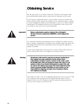### <span id="page-25-0"></span>**Obtaining Service**

We take great pride in our dealers. Experience, dedication, and integrity make these professionals ideally suited to assist with our customers' service needs.

If your Proceed component must be serviced, please contact your dealer. Your dealer will then decide whether the problem can be remedied locally, or whether to contact Madrigal for further service information or parts, or to obtain a Return Authorization. The Madrigal Technical Services Department works closely with your dealer to solve your service needs expediently.



**Important! Return authorization must be obtained from Madrigal's Technical Services Department BEFORE a unit is shipped for service.**

> It is extremely important that information about a problem be explicit and complete. A specific, comprehensive description of the problem helps your dealer and the Madrigal Technical Services Department locate and repair the difficulty as quickly as possible.

A copy of the original bill of sale will serve to verify warranty status. Please include it with the unit when it is brought in for warranty service.



**Warning! All returned units must be properly packaged (preferably in their original packing material), and the proper return authorization numbers must be marked on the outer carton for identification. If the packaging to protect the unit is, in our opinion or that of our dealer, inadequate to protect the unit, we reserve the right to repackage it for return shipment at the owner's expense. Neither Madrigal nor your dealer can be responsible for shipping damage due to improper (that is, non-original) packaging.**

> Your dealer can order a new set of shipping materials for you if you need to ship your component and no longer have the original materials. There will be a charge for this service. We *strongly* recommend saving all packing materials in case you need to ship your unit some day.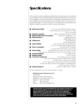### <span id="page-26-0"></span>**Specifications**

*The correlation between published specifications and performance is unreliable. A list of numbers reveals virtually nothing. All technical measurements must be subject to qualitative as well as quantitative interpretation. Measurements of the Proceed amplifier yield excellent results by any standards. However, only those specifications that apply to its actual operation are included here. All specifications are subject to change at any time, in order to improve the product.*

| Rated power output:                   | 125 w/ch rms @ $8\Omega$ , all channels driven,              |
|---------------------------------------|--------------------------------------------------------------|
|                                       | 20 Hz–20 kHz with no more than 0.1% THD                      |
|                                       | 250 w/ch into $4\Omega$                                      |
| Frequency response:                   | within 0.15 dB from 20 Hz to 20 kHz                          |
| Signal to Noise ratio (main outputs): | better than $-80$ dB (ref. 1 w)                              |
| Input impedance:                      | $100k\Omega$ (balanced)                                      |
|                                       | $10k\Omega$ (single-ended)                                   |
| Voltage gain:                         | 23 dB (balanced)                                             |
|                                       | 29 dB (single-ended)                                         |
| Input sensitivity:                    | 2.24 V for full rated output (balanced)                      |
|                                       | 1.12 V for full rated output (single-ended)                  |
| Power consumption:                    | less than 150 W in standby                                   |
|                                       | less than 250 W when fully on and at idle                    |
| Mains voltage:                        | determined by the needs of country for which                 |
|                                       | the unit was manufactured; cannot be reset by dealer or user |
| Overall dimensions:                   | See "Dimensions"                                             |
| Shipping weight:                      | 119 lbs. (54 kg)                                             |
| <b>Connector Complement:</b>          | two binding posts per channel                                |
|                                       | one 3-pin XLR balanced input connector per channel           |
|                                       | one RCA input connector per channel                          |
|                                       | two 1/8" mini-jacks for remote turn-on and loop-through      |
|                                       | two RJ-45 modular connectors for PHAST™ communications       |
|                                       | one IEC AC mains connector                                   |
| Output impedance:                     | less than $0.05\Omega$ , 20 Hz - 20 kHz                      |

For more information, see your Proceed dealer, or contact:

#### *Madrigal Audio Laboratories, Inc.*

*P.O. Box 781 2081 South Main Street (Route 17) Middletown, Connecticut 06457 USA Telephone (860) 346-0896 FAX (860) 346-1540 Internet http://www.madrigal.com/*

**Madrigal provides an owner-transferable, five year extended warranty on all Proceed products within the U. S. and Canada ONLY. Warranty and service policies outside the U. S. and Canada are set by the local, authorized distributor and are applicable in the country of purchase ONLY. Madrigal products are designed to operate at set voltages appropriate for the country of sale and may be damaged if operated at the wrong voltage.**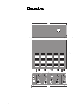### **Dimensions**

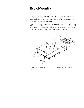### **Rack Mounting**

If you need or prefer to rack mount your amplifier, contact your Proceed dealer about the optional rack mount kit. This purpose-designed assembly provides the needed ventilation for the heatsink "chimneys" of the amplifier as well as the support required for this heavy component.

To use the rack mount kit, simply bolt the shelf securely to the rack, slide the amplifier into place, and then mount the provided trim ring around the faceplate of the amplifier (which will protrude from the rack by approximately one inch or 2.5 cm). The drawing below will help you visualize the assembly.



The mounted amplifier and rack mount kit occupies 5 standard rack units of height.